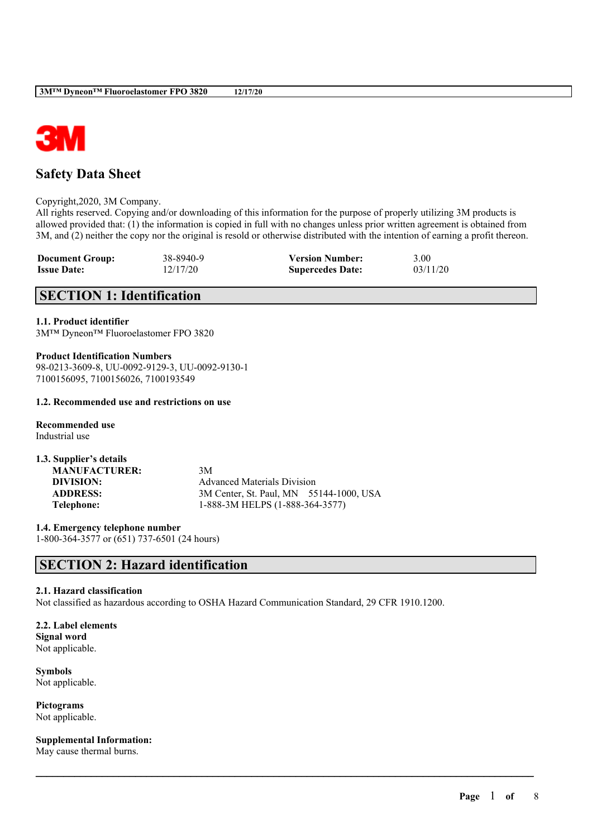

# **Safety Data Sheet**

Copyright,2020, 3M Company.

All rights reserved. Copying and/or downloading of this information for the purpose of properly utilizing 3M products is allowed provided that: (1) the information is copied in full with no changes unless prior written agreement is obtained from 3M, and (2) neither the copy nor the original is resold or otherwise distributed with the intention of earning a profit thereon.

| <b>Document Group:</b> | 38-8940-9 | <b>Version Number:</b>  | 3.00     |
|------------------------|-----------|-------------------------|----------|
| <b>Issue Date:</b>     | 12/17/20  | <b>Supercedes Date:</b> | 03/11/20 |

# **SECTION 1: Identification**

## **1.1. Product identifier**

3M™ Dyneon™ Fluoroelastomer FPO 3820

**Product Identification Numbers** 98-0213-3609-8, UU-0092-9129-3, UU-0092-9130-1 7100156095, 7100156026, 7100193549

### **1.2. Recommended use and restrictions on use**

**Recommended use** Industrial use

**1.3. Supplier's details MANUFACTURER:** 3M

**DIVISION:** Advanced Materials Division **ADDRESS:** 3M Center, St. Paul, MN 55144-1000, USA **Telephone:** 1-888-3M HELPS (1-888-364-3577)

 $\mathcal{L}_\mathcal{L} = \mathcal{L}_\mathcal{L} = \mathcal{L}_\mathcal{L} = \mathcal{L}_\mathcal{L} = \mathcal{L}_\mathcal{L} = \mathcal{L}_\mathcal{L} = \mathcal{L}_\mathcal{L} = \mathcal{L}_\mathcal{L} = \mathcal{L}_\mathcal{L} = \mathcal{L}_\mathcal{L} = \mathcal{L}_\mathcal{L} = \mathcal{L}_\mathcal{L} = \mathcal{L}_\mathcal{L} = \mathcal{L}_\mathcal{L} = \mathcal{L}_\mathcal{L} = \mathcal{L}_\mathcal{L} = \mathcal{L}_\mathcal{L}$ 

**1.4. Emergency telephone number** 1-800-364-3577 or (651) 737-6501 (24 hours)

# **SECTION 2: Hazard identification**

## **2.1. Hazard classification**

Not classified as hazardous according to OSHA Hazard Communication Standard, 29 CFR 1910.1200.

## **2.2. Label elements**

**Signal word** Not applicable.

**Symbols** Not applicable.

**Pictograms** Not applicable.

**Supplemental Information:**

May cause thermal burns.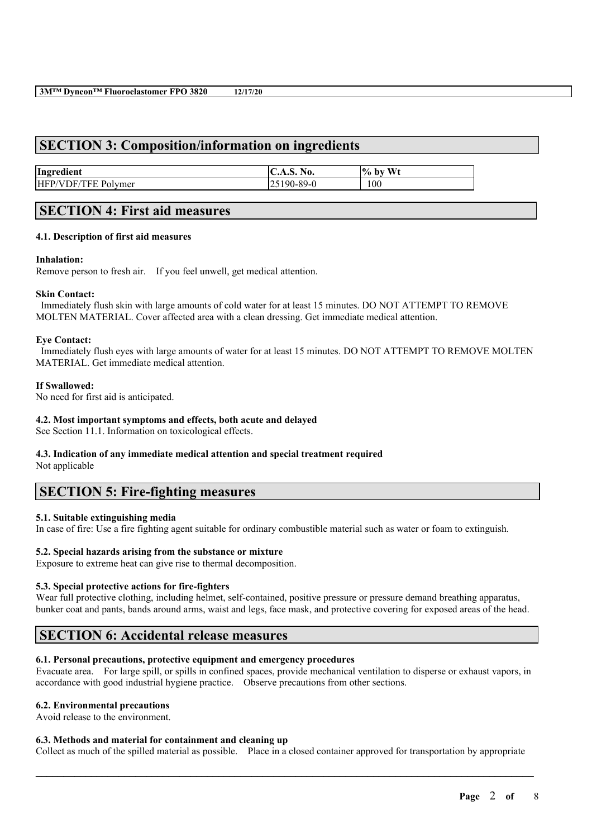## **SECTION 3: Composition/information on ingredients**

| Ingredient             | <b>C.A.S. No.</b>                          | $\frac{10}{6}$<br>W <sub>t</sub><br>, bv |
|------------------------|--------------------------------------------|------------------------------------------|
| HFP/V<br>ĴЬ<br>Polymer | $1-89-0$<br>$\sim$<br>w<br>23 I 20<br>ر ن- | 100                                      |

# **SECTION 4: First aid measures**

## **4.1. Description of first aid measures**

### **Inhalation:**

Remove person to fresh air. If you feel unwell, get medical attention.

### **Skin Contact:**

Immediately flush skin with large amounts of cold water for at least 15 minutes. DO NOT ATTEMPT TO REMOVE MOLTEN MATERIAL. Cover affected area with a clean dressing. Get immediate medical attention.

### **Eye Contact:**

Immediately flush eyes with large amounts of water for at least 15 minutes. DO NOT ATTEMPT TO REMOVE MOLTEN MATERIAL. Get immediate medical attention.

### **If Swallowed:**

No need for first aid is anticipated.

## **4.2. Most important symptoms and effects, both acute and delayed**

See Section 11.1. Information on toxicological effects.

## **4.3. Indication of any immediate medical attention and special treatment required**

Not applicable

## **SECTION 5: Fire-fighting measures**

## **5.1. Suitable extinguishing media**

In case of fire: Use a fire fighting agent suitable for ordinary combustible material such as water or foam to extinguish.

## **5.2. Special hazards arising from the substance or mixture**

Exposure to extreme heat can give rise to thermal decomposition.

#### **5.3. Special protective actions for fire-fighters**

Wear full protective clothing, including helmet, self-contained, positive pressure or pressure demand breathing apparatus, bunker coat and pants, bands around arms, waist and legs, face mask, and protective covering for exposed areas of the head.

## **SECTION 6: Accidental release measures**

## **6.1. Personal precautions, protective equipment and emergency procedures**

Evacuate area. For large spill, or spills in confined spaces, provide mechanical ventilation to disperse or exhaust vapors, in accordance with good industrial hygiene practice. Observe precautions from other sections.

#### **6.2. Environmental precautions**

Avoid release to the environment.

#### **6.3. Methods and material for containment and cleaning up**

Collect as much of the spilled material as possible. Place in a closed container approved for transportation by appropriate

 $\mathcal{L}_\mathcal{L} = \mathcal{L}_\mathcal{L} = \mathcal{L}_\mathcal{L} = \mathcal{L}_\mathcal{L} = \mathcal{L}_\mathcal{L} = \mathcal{L}_\mathcal{L} = \mathcal{L}_\mathcal{L} = \mathcal{L}_\mathcal{L} = \mathcal{L}_\mathcal{L} = \mathcal{L}_\mathcal{L} = \mathcal{L}_\mathcal{L} = \mathcal{L}_\mathcal{L} = \mathcal{L}_\mathcal{L} = \mathcal{L}_\mathcal{L} = \mathcal{L}_\mathcal{L} = \mathcal{L}_\mathcal{L} = \mathcal{L}_\mathcal{L}$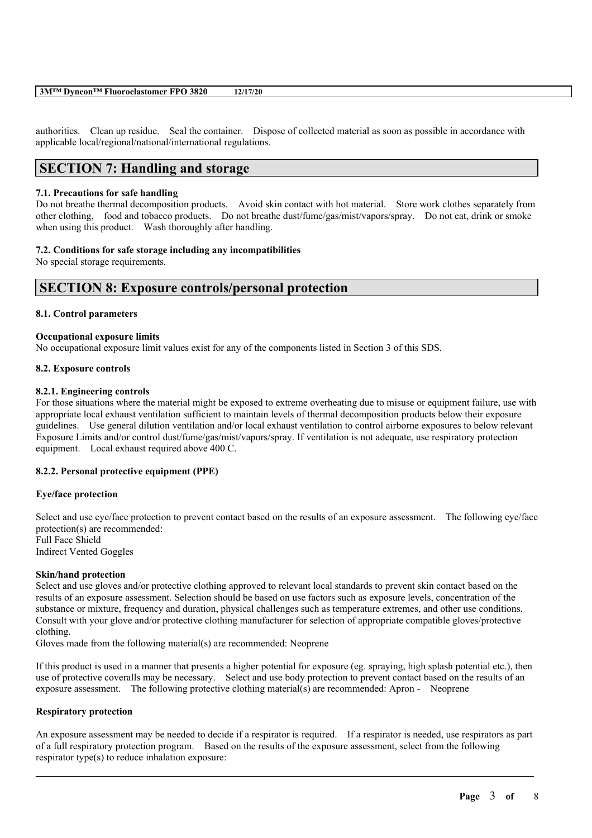| 3MTM Dyneon™ Fluoroelastomer FPO 3820 |  | 12/17/20 |
|---------------------------------------|--|----------|
|---------------------------------------|--|----------|

authorities. Clean up residue. Seal the container. Dispose of collected material as soon as possible in accordance with applicable local/regional/national/international regulations.

# **SECTION 7: Handling and storage**

### **7.1. Precautions for safe handling**

Do not breathe thermal decomposition products. Avoid skin contact with hot material. Store work clothes separately from other clothing, food and tobacco products. Do not breathe dust/fume/gas/mist/vapors/spray. Do not eat, drink or smoke when using this product. Wash thoroughly after handling.

## **7.2. Conditions for safe storage including any incompatibilities**

No special storage requirements.

## **SECTION 8: Exposure controls/personal protection**

### **8.1. Control parameters**

### **Occupational exposure limits**

No occupational exposure limit values exist for any of the components listed in Section 3 of this SDS.

### **8.2. Exposure controls**

### **8.2.1. Engineering controls**

For those situations where the material might be exposed to extreme overheating due to misuse or equipment failure, use with appropriate local exhaust ventilation sufficient to maintain levels of thermal decomposition products below their exposure guidelines. Use general dilution ventilation and/or local exhaust ventilation to control airborne exposures to below relevant Exposure Limits and/or control dust/fume/gas/mist/vapors/spray. If ventilation is not adequate, use respiratory protection equipment. Local exhaust required above 400 C.

## **8.2.2. Personal protective equipment (PPE)**

#### **Eye/face protection**

Select and use eye/face protection to prevent contact based on the results of an exposure assessment. The following eye/face protection(s) are recommended: Full Face Shield Indirect Vented Goggles

## **Skin/hand protection**

Select and use gloves and/or protective clothing approved to relevant local standards to prevent skin contact based on the results of an exposure assessment. Selection should be based on use factors such as exposure levels, concentration of the substance or mixture, frequency and duration, physical challenges such as temperature extremes, and other use conditions. Consult with your glove and/or protective clothing manufacturer for selection of appropriate compatible gloves/protective clothing.

Gloves made from the following material(s) are recommended: Neoprene

If this product is used in a manner that presents a higher potential for exposure (eg. spraying, high splash potential etc.), then use of protective coveralls may be necessary. Select and use body protection to prevent contact based on the results of an exposure assessment. The following protective clothing material(s) are recommended: Apron - Neoprene

## **Respiratory protection**

An exposure assessment may be needed to decide if a respirator is required. If a respirator is needed, use respirators as part of a full respiratory protection program. Based on the results of the exposure assessment, select from the following respirator type(s) to reduce inhalation exposure:

 $\mathcal{L}_\mathcal{L} = \mathcal{L}_\mathcal{L} = \mathcal{L}_\mathcal{L} = \mathcal{L}_\mathcal{L} = \mathcal{L}_\mathcal{L} = \mathcal{L}_\mathcal{L} = \mathcal{L}_\mathcal{L} = \mathcal{L}_\mathcal{L} = \mathcal{L}_\mathcal{L} = \mathcal{L}_\mathcal{L} = \mathcal{L}_\mathcal{L} = \mathcal{L}_\mathcal{L} = \mathcal{L}_\mathcal{L} = \mathcal{L}_\mathcal{L} = \mathcal{L}_\mathcal{L} = \mathcal{L}_\mathcal{L} = \mathcal{L}_\mathcal{L}$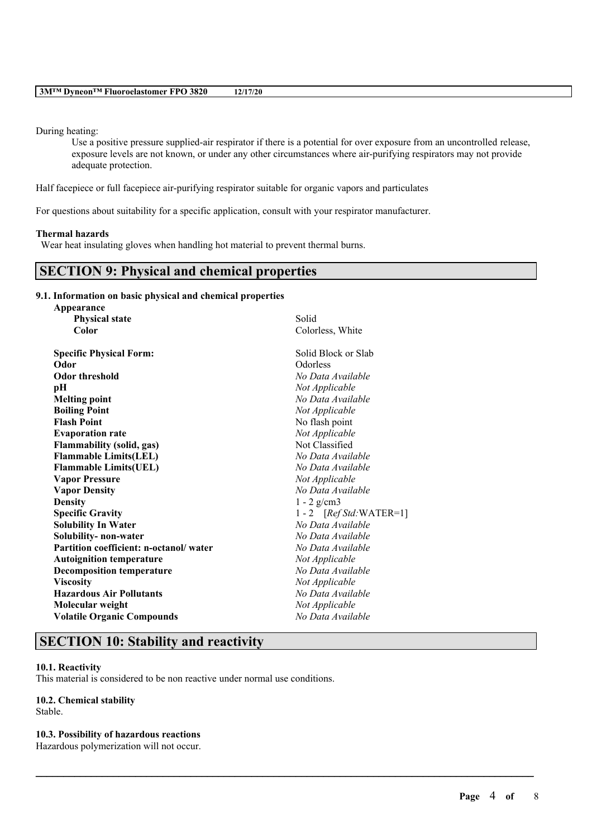#### During heating:

Use a positive pressure supplied-air respirator if there is a potential for over exposure from an uncontrolled release, exposure levels are not known, or under any other circumstances where air-purifying respirators may not provide adequate protection.

Half facepiece or full facepiece air-purifying respirator suitable for organic vapors and particulates

For questions about suitability for a specific application, consult with your respirator manufacturer.

## **Thermal hazards**

Wear heat insulating gloves when handling hot material to prevent thermal burns.

## **SECTION 9: Physical and chemical properties**

#### **9.1. Information on basic physical and chemical properties**

| Appearance                             |                            |
|----------------------------------------|----------------------------|
| <b>Physical state</b>                  | Solid                      |
| Color                                  | Colorless, White           |
| <b>Specific Physical Form:</b>         | Solid Block or Slab        |
| Odor                                   | Odorless                   |
| <b>Odor threshold</b>                  | No Data Available          |
| pН                                     | Not Applicable             |
| <b>Melting point</b>                   | No Data Available          |
| <b>Boiling Point</b>                   | Not Applicable             |
| <b>Flash Point</b>                     | No flash point             |
| <b>Evaporation rate</b>                | Not Applicable             |
| <b>Flammability (solid, gas)</b>       | Not Classified             |
| <b>Flammable Limits(LEL)</b>           | No Data Available          |
| <b>Flammable Limits(UEL)</b>           | No Data Available          |
| <b>Vapor Pressure</b>                  | Not Applicable             |
| <b>Vapor Density</b>                   | No Data Available          |
| <b>Density</b>                         | $1 - 2$ g/cm3              |
| <b>Specific Gravity</b>                | $1 - 2$ [Ref Std: WATER=1] |
| <b>Solubility In Water</b>             | No Data Available          |
| Solubility- non-water                  | No Data Available          |
| Partition coefficient: n-octanol/water | No Data Available          |
| <b>Autoignition temperature</b>        | Not Applicable             |
| <b>Decomposition temperature</b>       | No Data Available          |
| <b>Viscosity</b>                       | Not Applicable             |
| <b>Hazardous Air Pollutants</b>        | No Data Available          |
| Molecular weight                       | Not Applicable             |
| <b>Volatile Organic Compounds</b>      | No Data Available          |
|                                        |                            |

 $\mathcal{L}_\mathcal{L} = \mathcal{L}_\mathcal{L} = \mathcal{L}_\mathcal{L} = \mathcal{L}_\mathcal{L} = \mathcal{L}_\mathcal{L} = \mathcal{L}_\mathcal{L} = \mathcal{L}_\mathcal{L} = \mathcal{L}_\mathcal{L} = \mathcal{L}_\mathcal{L} = \mathcal{L}_\mathcal{L} = \mathcal{L}_\mathcal{L} = \mathcal{L}_\mathcal{L} = \mathcal{L}_\mathcal{L} = \mathcal{L}_\mathcal{L} = \mathcal{L}_\mathcal{L} = \mathcal{L}_\mathcal{L} = \mathcal{L}_\mathcal{L}$ 

## **SECTION 10: Stability and reactivity**

#### **10.1. Reactivity**

This material is considered to be non reactive under normal use conditions.

## **10.2. Chemical stability**

Stable.

## **10.3. Possibility of hazardous reactions**

Hazardous polymerization will not occur.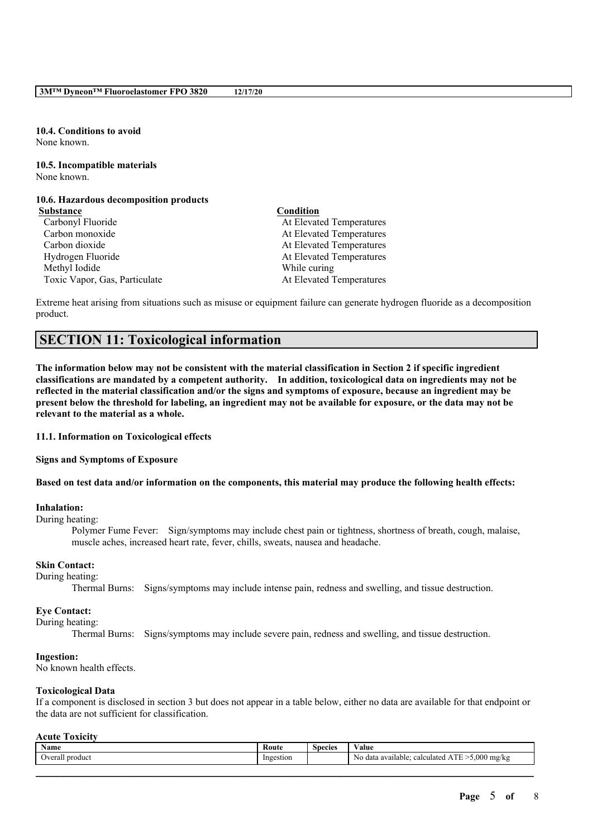**10.4. Conditions to avoid** None known.

**10.5. Incompatible materials** None known.

## **10.6. Hazardous decomposition products**

- **Substance Condition**
	- Carbon monoxide At Elevated Temperatures Carbon dioxide At Elevated Temperatures Hydrogen Fluoride **At Elevated Temperatures** At Elevated Temperatures Methyl Iodide While curing

Carbonyl Fluoride At Elevated Temperatures Toxic Vapor, Gas, Particulate At Elevated Temperatures

Extreme heat arising from situations such as misuse or equipment failure can generate hydrogen fluoride as a decomposition product.

## **SECTION 11: Toxicological information**

The information below may not be consistent with the material classification in Section 2 if specific ingredient **classifications are mandated by a competent authority. In addition, toxicological data on ingredients may not be** reflected in the material classification and/or the signs and symptoms of exposure, because an ingredient may be present below the threshold for labeling, an ingredient may not be available for exposure, or the data may not be **relevant to the material as a whole.**

**11.1. Information on Toxicological effects**

#### **Signs and Symptoms of Exposure**

Based on test data and/or information on the components, this material may produce the following health effects:

#### **Inhalation:**

#### During heating:

Polymer Fume Fever: Sign/symptoms may include chest pain or tightness, shortness of breath, cough, malaise, muscle aches, increased heart rate, fever, chills, sweats, nausea and headache.

## **Skin Contact:**

During heating:

Thermal Burns: Signs/symptoms may include intense pain, redness and swelling, and tissue destruction.

## **Eye Contact:**

#### During heating:

Thermal Burns: Signs/symptoms may include severe pain, redness and swelling, and tissue destruction.

#### **Ingestion:**

No known health effects.

#### **Toxicological Data**

If a component is disclosed in section 3 but does not appear in a table below, either no data are available for that endpoint or the data are not sufficient for classification.

#### **Acute Toxicity**

| $\mathbf{v}$<br><b>Name</b> | Route     | $\sim$<br><b>Species</b> | $- - -$<br>Value                                             |
|-----------------------------|-----------|--------------------------|--------------------------------------------------------------|
| Overall product             | Ingestion |                          | 5,000 mg/kg<br>ATE<br>No data available:<br>calculated.<br>ш |
|                             |           |                          |                                                              |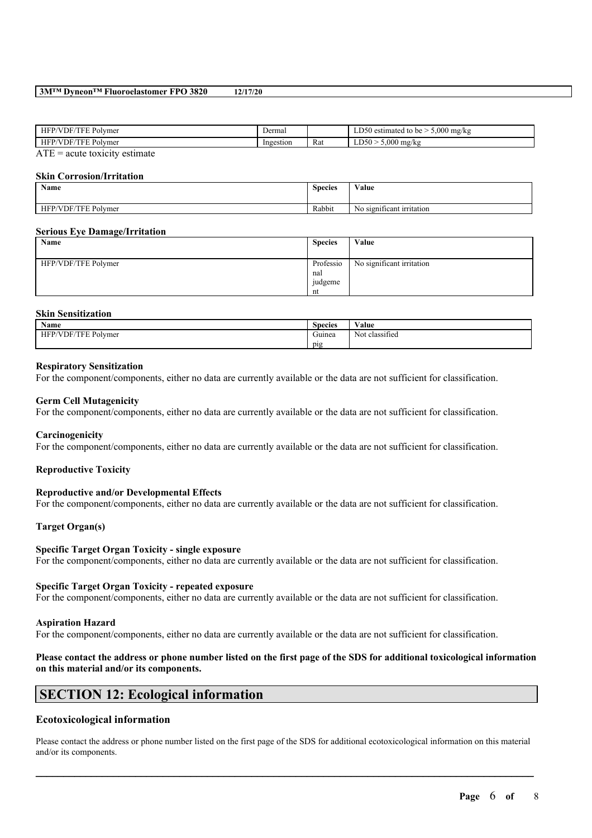#### **3M™ Dyneon™ Fluoroelastomer FPO 3820 12/17/20**

| HFP<br>Polymer<br>эF<br>. н.          | Dermal    |                      | 000<br>) mg/kg<br>estimated<br>. ורנ<br>tc<br>$h^{\alpha}$<br>v<br>ت<br>. |
|---------------------------------------|-----------|----------------------|---------------------------------------------------------------------------|
| <b>HFP</b><br>Polymer<br>DF.<br>1 H I | Ingestion | $\sim$<br><b>Rat</b> | .000<br>DS <sub>0</sub><br>mg/kg<br>∸                                     |
| ATT<br>.                              |           |                      |                                                                           |

 $ATE = acute$  toxicity estimate

#### **Skin Corrosion/Irritation**

| Name                | $\sim$<br><b>Species</b> | <b>WY 3</b><br>Value             |
|---------------------|--------------------------|----------------------------------|
| HFP/VDF/TFE Polymer | Rabbit                   | - -<br>No significant irritation |

#### **Serious Eye Damage/Irritation**

| Name                | <b>Species</b>                    | Value                     |
|---------------------|-----------------------------------|---------------------------|
| HFP/VDF/TFE Polymer | Professio<br>nal<br>judgeme<br>nt | No significant irritation |

#### **Skin Sensitization**

| <b>Name</b>                                       | $\sim$<br><b>Species</b> | $\mathbf{v}$<br>Value               |
|---------------------------------------------------|--------------------------|-------------------------------------|
| $\sim$<br>FTTT<br>'VDF<br>ΗF<br>Polymer<br>ΉН<br> | $\sim$<br>Guinea         | $\cdot$ $\sim$<br>classified<br>Not |
|                                                   | pig                      |                                     |

### **Respiratory Sensitization**

For the component/components, either no data are currently available or the data are not sufficient for classification.

#### **Germ Cell Mutagenicity**

For the component/components, either no data are currently available or the data are not sufficient for classification.

#### **Carcinogenicity**

For the component/components, either no data are currently available or the data are not sufficient for classification.

#### **Reproductive Toxicity**

#### **Reproductive and/or Developmental Effects**

For the component/components, either no data are currently available or the data are not sufficient for classification.

## **Target Organ(s)**

#### **Specific Target Organ Toxicity - single exposure**

For the component/components, either no data are currently available or the data are not sufficient for classification.

#### **Specific Target Organ Toxicity - repeated exposure**

For the component/components, either no data are currently available or the data are not sufficient for classification.

#### **Aspiration Hazard**

For the component/components, either no data are currently available or the data are not sufficient for classification.

## Please contact the address or phone number listed on the first page of the SDS for additional toxicological information **on this material and/or its components.**

# **SECTION 12: Ecological information**

## **Ecotoxicological information**

Please contact the address or phone number listed on the first page of the SDS for additional ecotoxicological information on this material and/or its components.

 $\mathcal{L}_\mathcal{L} = \mathcal{L}_\mathcal{L} = \mathcal{L}_\mathcal{L} = \mathcal{L}_\mathcal{L} = \mathcal{L}_\mathcal{L} = \mathcal{L}_\mathcal{L} = \mathcal{L}_\mathcal{L} = \mathcal{L}_\mathcal{L} = \mathcal{L}_\mathcal{L} = \mathcal{L}_\mathcal{L} = \mathcal{L}_\mathcal{L} = \mathcal{L}_\mathcal{L} = \mathcal{L}_\mathcal{L} = \mathcal{L}_\mathcal{L} = \mathcal{L}_\mathcal{L} = \mathcal{L}_\mathcal{L} = \mathcal{L}_\mathcal{L}$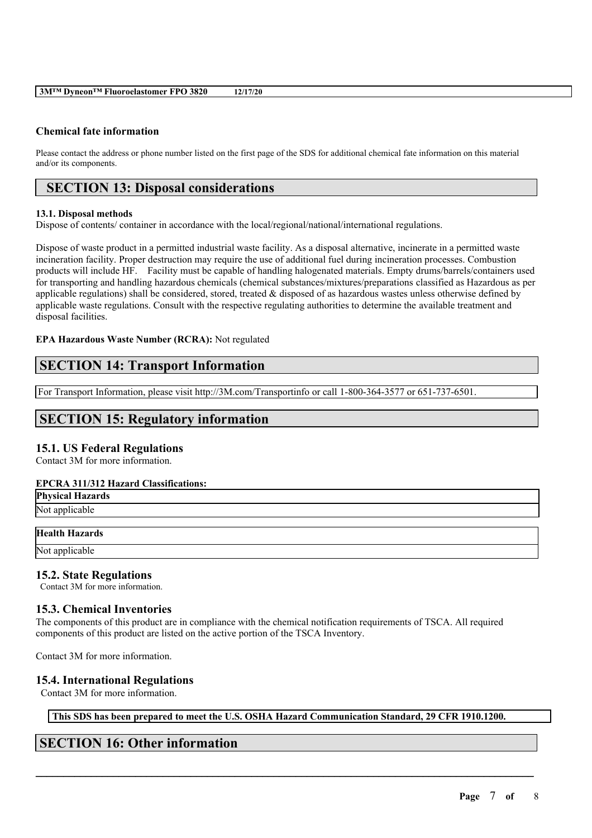## **Chemical fate information**

Please contact the address or phone number listed on the first page of the SDS for additional chemical fate information on this material and/or its components.

# **SECTION 13: Disposal considerations**

### **13.1. Disposal methods**

Dispose of contents/ container in accordance with the local/regional/national/international regulations.

Dispose of waste product in a permitted industrial waste facility. As a disposal alternative, incinerate in a permitted waste incineration facility. Proper destruction may require the use of additional fuel during incineration processes. Combustion products will include HF. Facility must be capable of handling halogenated materials. Empty drums/barrels/containers used for transporting and handling hazardous chemicals (chemical substances/mixtures/preparations classified as Hazardous as per applicable regulations) shall be considered, stored, treated  $\&$  disposed of as hazardous wastes unless otherwise defined by applicable waste regulations. Consult with the respective regulating authorities to determine the available treatment and disposal facilities.

## **EPA Hazardous Waste Number (RCRA):** Not regulated

# **SECTION 14: Transport Information**

For Transport Information, please visit http://3M.com/Transportinfo or call 1-800-364-3577 or 651-737-6501.

## **SECTION 15: Regulatory information**

## **15.1. US Federal Regulations**

Contact 3M for more information.

## **EPCRA 311/312 Hazard Classifications:**

**Physical Hazards** Not applicable

#### **Health Hazards**

Not applicable

## **15.2. State Regulations**

Contact 3M for more information.

## **15.3. Chemical Inventories**

The components of this product are in compliance with the chemical notification requirements of TSCA. All required components of this product are listed on the active portion of the TSCA Inventory.

Contact 3M for more information.

## **15.4. International Regulations**

Contact 3M for more information.

**This SDS has been prepared to meet the U.S. OSHA Hazard Communication Standard, 29 CFR 1910.1200.**

 $\mathcal{L}_\mathcal{L} = \mathcal{L}_\mathcal{L} = \mathcal{L}_\mathcal{L} = \mathcal{L}_\mathcal{L} = \mathcal{L}_\mathcal{L} = \mathcal{L}_\mathcal{L} = \mathcal{L}_\mathcal{L} = \mathcal{L}_\mathcal{L} = \mathcal{L}_\mathcal{L} = \mathcal{L}_\mathcal{L} = \mathcal{L}_\mathcal{L} = \mathcal{L}_\mathcal{L} = \mathcal{L}_\mathcal{L} = \mathcal{L}_\mathcal{L} = \mathcal{L}_\mathcal{L} = \mathcal{L}_\mathcal{L} = \mathcal{L}_\mathcal{L}$ 

# **SECTION 16: Other information**